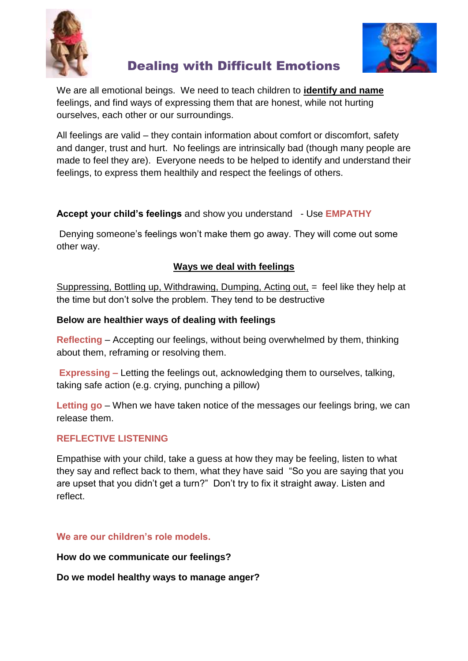



# Dealing with Difficult Emotions

We are all emotional beings. We need to teach children to **identify and name** feelings, and find ways of expressing them that are honest, while not hurting ourselves, each other or our surroundings.

All feelings are valid – they contain information about comfort or discomfort, safety and danger, trust and hurt. No feelings are intrinsically bad (though many people are made to feel they are). Everyone needs to be helped to identify and understand their feelings, to express them healthily and respect the feelings of others.

# **Accept your child's feelings** and show you understand - Use **EMPATHY**

Denying someone's feelings won't make them go away. They will come out some other way.

# **Ways we deal with feelings**

Suppressing, Bottling up, Withdrawing, Dumping, Acting out, = feel like they help at the time but don't solve the problem. They tend to be destructive

# **Below are healthier ways of dealing with feelings**

**Reflecting** – Accepting our feelings, without being overwhelmed by them, thinking about them, reframing or resolving them.

**Expressing –** Letting the feelings out, acknowledging them to ourselves, talking, taking safe action (e.g. crying, punching a pillow)

**Letting go** – When we have taken notice of the messages our feelings bring, we can release them.

## **REFLECTIVE LISTENING**

Empathise with your child, take a guess at how they may be feeling, listen to what they say and reflect back to them, what they have said "So you are saying that you are upset that you didn't get a turn?" Don't try to fix it straight away. Listen and reflect.

# **We are our children's role models.**

**How do we communicate our feelings?** 

**Do we model healthy ways to manage anger?**